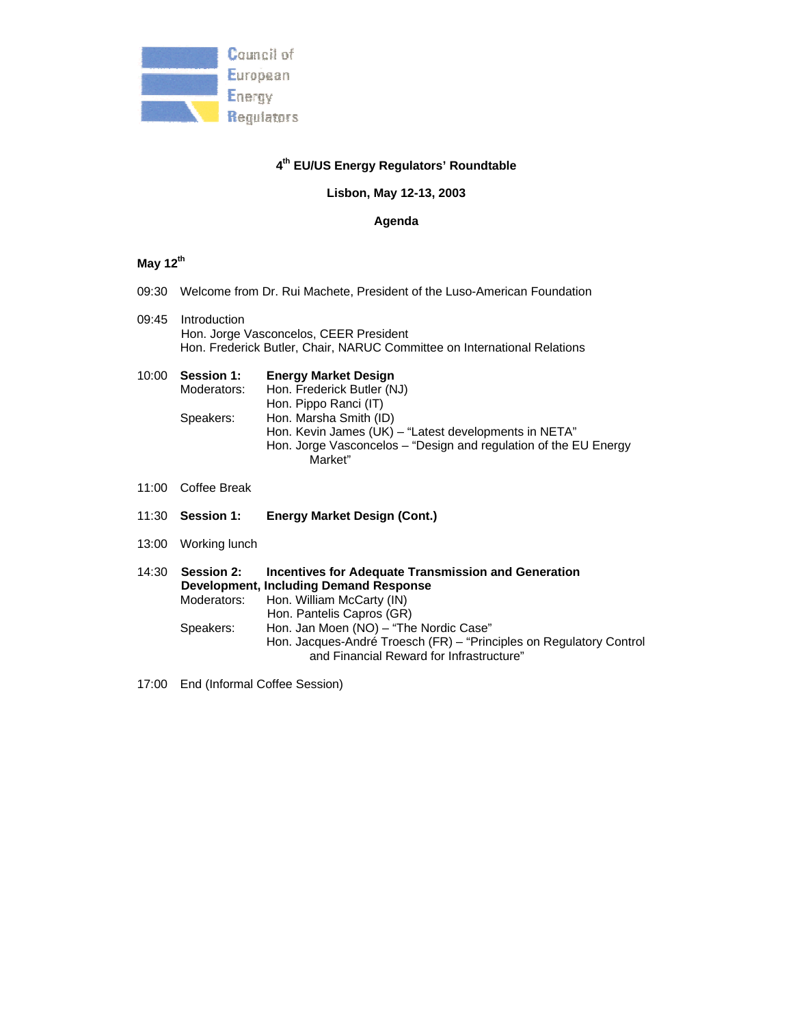

### **4th EU/US Energy Regulators' Roundtable**

### **Lisbon, May 12-13, 2003**

#### **Agenda**

# **May 12th**

- 09:30 Welcome from Dr. Rui Machete, President of the Luso-American Foundation
- 09:45 Introduction Hon. Jorge Vasconcelos, CEER President Hon. Frederick Butler, Chair, NARUC Committee on International Relations
- 10:00 **Session 1: Energy Market Design** Moderators: Hon. Frederick Butler (NJ) Hon. Pippo Ranci (IT) Speakers: Hon. Marsha Smith (ID) Hon. Kevin James (UK) – "Latest developments in NETA" Hon. Jorge Vasconcelos – "Design and regulation of the EU Energy Market"
- 11:00 Coffee Break
- 11:30 **Session 1: Energy Market Design (Cont.)**
- 13:00 Working lunch
- 14:30 **Session 2: Incentives for Adequate Transmission and Generation Development, Including Demand Response** Moderators: Hon. William McCarty (IN) Hon. Pantelis Capros (GR) Speakers: Hon. Jan Moen (NO) – "The Nordic Case" Hon. Jacques-André Troesch (FR) – "Principles on Regulatory Control and Financial Reward for Infrastructure"
- 17:00 End (Informal Coffee Session)